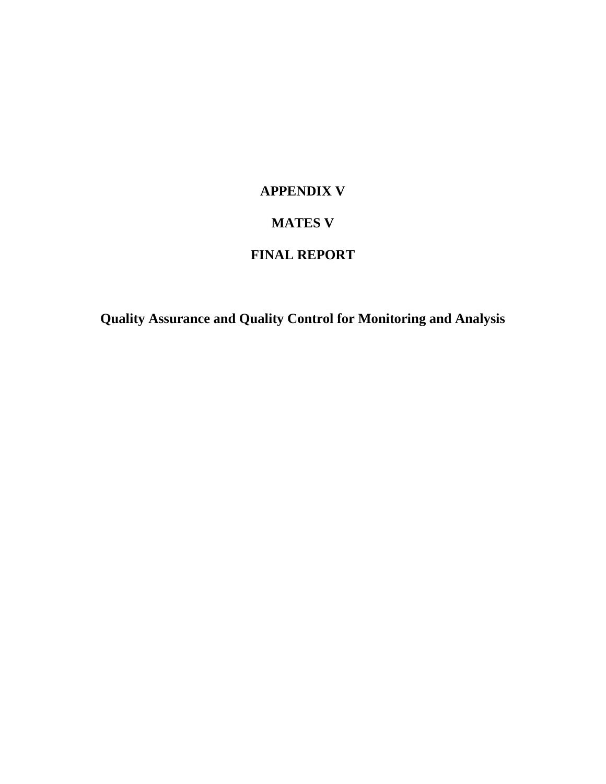# **APPENDIX V**

# **MATES V**

# **FINAL REPORT**

**Quality Assurance and Quality Control for Monitoring and Analysis**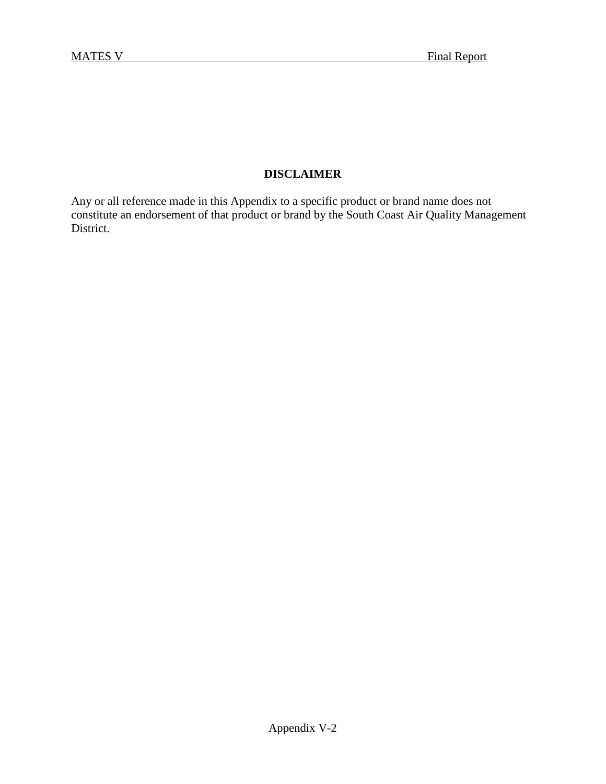# **DISCLAIMER**

Any or all reference made in this Appendix to a specific product or brand name does not constitute an endorsement of that product or brand by the South Coast Air Quality Management District.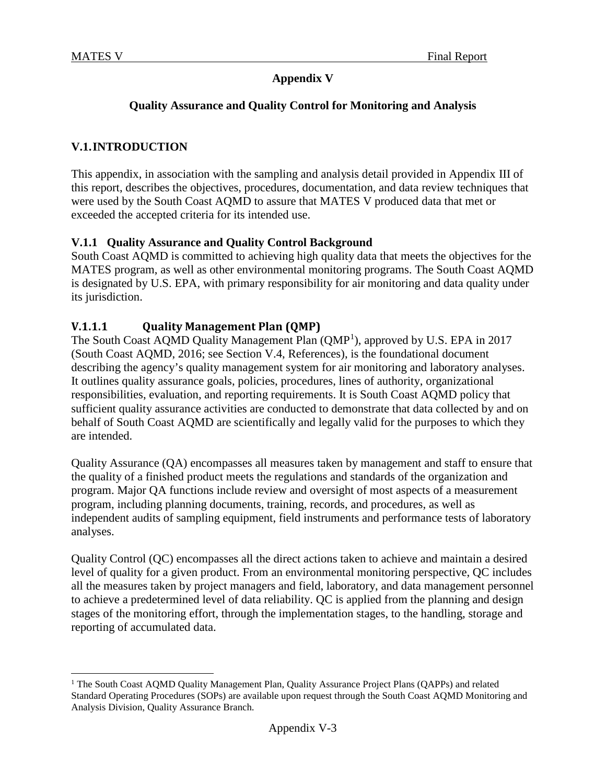# **Appendix V**

# **Quality Assurance and Quality Control for Monitoring and Analysis**

# **V.1.INTRODUCTION**

This appendix, in association with the sampling and analysis detail provided in Appendix III of this report, describes the objectives, procedures, documentation, and data review techniques that were used by the South Coast AQMD to assure that MATES V produced data that met or exceeded the accepted criteria for its intended use.

# **V.1.1 Quality Assurance and Quality Control Background**

South Coast AQMD is committed to achieving high quality data that meets the objectives for the MATES program, as well as other environmental monitoring programs. The South Coast AQMD is designated by U.S. EPA, with primary responsibility for air monitoring and data quality under its jurisdiction.

# **V.1.1.1 Quality Management Plan (QMP)**

The South Coast AQMD Quality Management Plan (QMP<sup>[1](#page-2-0)</sup>), approved by U.S. EPA in 2017 (South Coast AQMD, 2016; see Section V.4, References), is the foundational document describing the agency's quality management system for air monitoring and laboratory analyses. It outlines quality assurance goals, policies, procedures, lines of authority, organizational responsibilities, evaluation, and reporting requirements. It is South Coast AQMD policy that sufficient quality assurance activities are conducted to demonstrate that data collected by and on behalf of South Coast AQMD are scientifically and legally valid for the purposes to which they are intended.

Quality Assurance (QA) encompasses all measures taken by management and staff to ensure that the quality of a finished product meets the regulations and standards of the organization and program. Major QA functions include review and oversight of most aspects of a measurement program, including planning documents, training, records, and procedures, as well as independent audits of sampling equipment, field instruments and performance tests of laboratory analyses.

Quality Control (QC) encompasses all the direct actions taken to achieve and maintain a desired level of quality for a given product. From an environmental monitoring perspective, QC includes all the measures taken by project managers and field, laboratory, and data management personnel to achieve a predetermined level of data reliability. QC is applied from the planning and design stages of the monitoring effort, through the implementation stages, to the handling, storage and reporting of accumulated data.

<span id="page-2-0"></span><sup>&</sup>lt;sup>1</sup> The South Coast AOMD Quality Management Plan, Quality Assurance Project Plans (OAPPs) and related Standard Operating Procedures (SOPs) are available upon request through the South Coast AQMD Monitoring and Analysis Division, Quality Assurance Branch.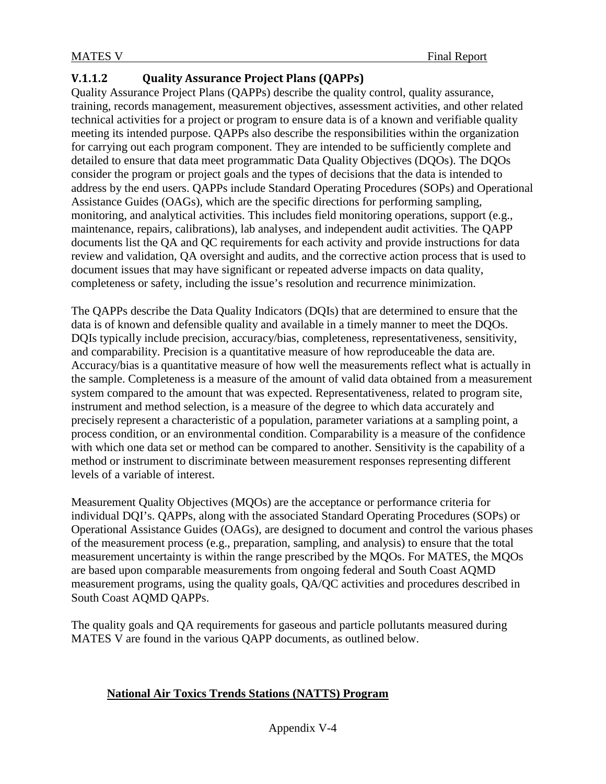# **V.1.1.2 Quality Assurance Project Plans (QAPPs)**

Quality Assurance Project Plans (QAPPs) describe the quality control, quality assurance, training, records management, measurement objectives, assessment activities, and other related technical activities for a project or program to ensure data is of a known and verifiable quality meeting its intended purpose. QAPPs also describe the responsibilities within the organization for carrying out each program component. They are intended to be sufficiently complete and detailed to ensure that data meet programmatic Data Quality Objectives (DQOs). The DQOs consider the program or project goals and the types of decisions that the data is intended to address by the end users. QAPPs include Standard Operating Procedures (SOPs) and Operational Assistance Guides (OAGs), which are the specific directions for performing sampling, monitoring, and analytical activities. This includes field monitoring operations, support (e.g., maintenance, repairs, calibrations), lab analyses, and independent audit activities. The QAPP documents list the QA and QC requirements for each activity and provide instructions for data review and validation, QA oversight and audits, and the corrective action process that is used to document issues that may have significant or repeated adverse impacts on data quality, completeness or safety, including the issue's resolution and recurrence minimization.

The QAPPs describe the Data Quality Indicators (DQIs) that are determined to ensure that the data is of known and defensible quality and available in a timely manner to meet the DQOs. DQIs typically include precision, accuracy/bias, completeness, representativeness, sensitivity, and comparability. Precision is a quantitative measure of how reproduceable the data are. Accuracy/bias is a quantitative measure of how well the measurements reflect what is actually in the sample. Completeness is a measure of the amount of valid data obtained from a measurement system compared to the amount that was expected. Representativeness, related to program site, instrument and method selection, is a measure of the degree to which data accurately and precisely represent a characteristic of a population, parameter variations at a sampling point, a process condition, or an environmental condition. Comparability is a measure of the confidence with which one data set or method can be compared to another. Sensitivity is the capability of a method or instrument to discriminate between measurement responses representing different levels of a variable of interest.

Measurement Quality Objectives (MQOs) are the acceptance or performance criteria for individual DQI's. QAPPs, along with the associated Standard Operating Procedures (SOPs) or Operational Assistance Guides (OAGs), are designed to document and control the various phases of the measurement process (e.g., preparation, sampling, and analysis) to ensure that the total measurement uncertainty is within the range prescribed by the MQOs. For MATES, the MQOs are based upon comparable measurements from ongoing federal and South Coast AQMD measurement programs, using the quality goals, QA/QC activities and procedures described in South Coast AQMD QAPPs.

The quality goals and QA requirements for gaseous and particle pollutants measured during MATES V are found in the various QAPP documents, as outlined below.

# **National Air Toxics Trends Stations (NATTS) Program**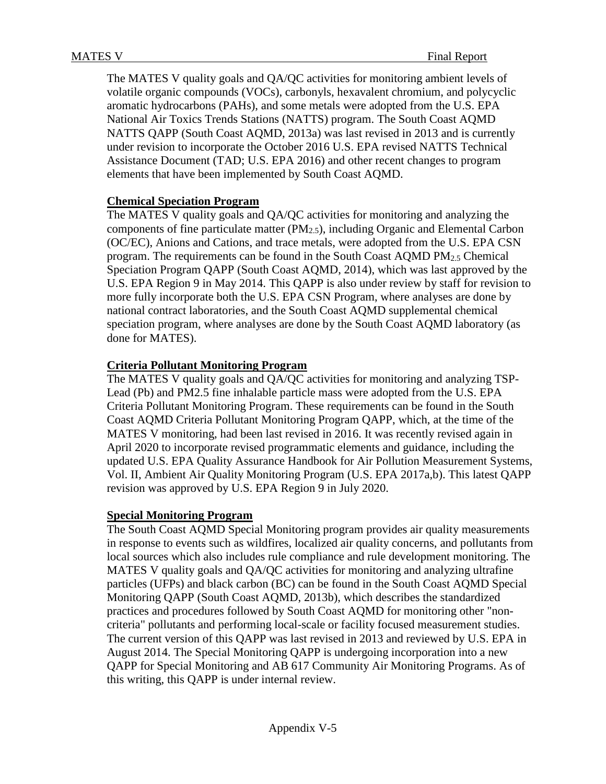The MATES V quality goals and QA/QC activities for monitoring ambient levels of volatile organic compounds (VOCs), carbonyls, hexavalent chromium, and polycyclic aromatic hydrocarbons (PAHs), and some metals were adopted from the U.S. EPA National Air Toxics Trends Stations (NATTS) program. The South Coast AQMD NATTS QAPP (South Coast AQMD, 2013a) was last revised in 2013 and is currently under revision to incorporate the October 2016 U.S. EPA revised NATTS Technical Assistance Document (TAD; U.S. EPA 2016) and other recent changes to program elements that have been implemented by South Coast AQMD.

### **Chemical Speciation Program**

The MATES V quality goals and QA/QC activities for monitoring and analyzing the components of fine particulate matter (PM2.5), including Organic and Elemental Carbon (OC/EC), Anions and Cations, and trace metals, were adopted from the U.S. EPA CSN program. The requirements can be found in the South Coast AQMD PM<sub>2.5</sub> Chemical Speciation Program QAPP (South Coast AQMD, 2014), which was last approved by the U.S. EPA Region 9 in May 2014. This QAPP is also under review by staff for revision to more fully incorporate both the U.S. EPA CSN Program, where analyses are done by national contract laboratories, and the South Coast AQMD supplemental chemical speciation program, where analyses are done by the South Coast AQMD laboratory (as done for MATES).

#### **Criteria Pollutant Monitoring Program**

The MATES V quality goals and QA/QC activities for monitoring and analyzing TSP-Lead (Pb) and PM2.5 fine inhalable particle mass were adopted from the U.S. EPA Criteria Pollutant Monitoring Program. These requirements can be found in the South Coast AQMD Criteria Pollutant Monitoring Program QAPP, which, at the time of the MATES V monitoring, had been last revised in 2016. It was recently revised again in April 2020 to incorporate revised programmatic elements and guidance, including the updated U.S. EPA Quality Assurance Handbook for Air Pollution Measurement Systems, Vol. II, Ambient Air Quality Monitoring Program (U.S. EPA 2017a,b). This latest QAPP revision was approved by U.S. EPA Region 9 in July 2020.

#### **Special Monitoring Program**

The South Coast AQMD Special Monitoring program provides air quality measurements in response to events such as wildfires, localized air quality concerns, and pollutants from local sources which also includes rule compliance and rule development monitoring. The MATES V quality goals and QA/QC activities for monitoring and analyzing ultrafine particles (UFPs) and black carbon (BC) can be found in the South Coast AQMD Special Monitoring QAPP (South Coast AQMD, 2013b), which describes the standardized practices and procedures followed by South Coast AQMD for monitoring other "noncriteria" pollutants and performing local-scale or facility focused measurement studies. The current version of this QAPP was last revised in 2013 and reviewed by U.S. EPA in August 2014. The Special Monitoring QAPP is undergoing incorporation into a new QAPP for Special Monitoring and AB 617 Community Air Monitoring Programs. As of this writing, this QAPP is under internal review.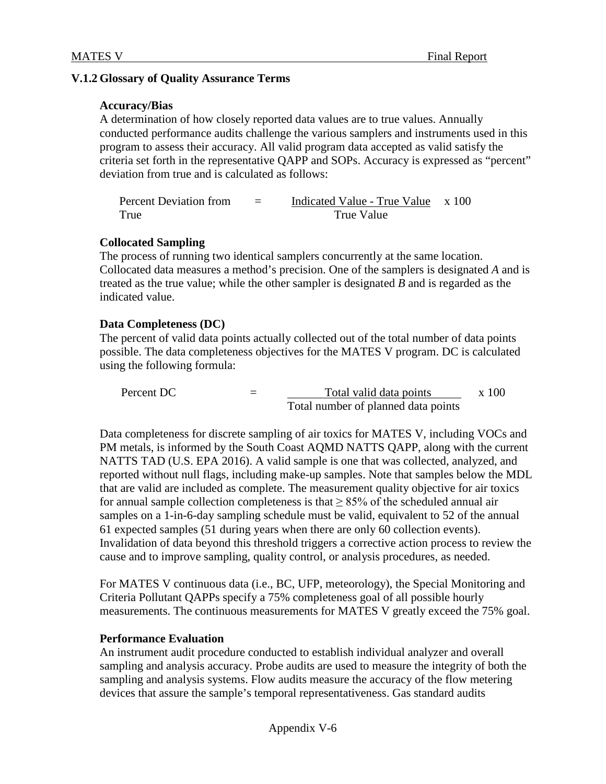### **V.1.2 Glossary of Quality Assurance Terms**

#### **Accuracy/Bias**

A determination of how closely reported data values are to true values. Annually conducted performance audits challenge the various samplers and instruments used in this program to assess their accuracy. All valid program data accepted as valid satisfy the criteria set forth in the representative QAPP and SOPs. Accuracy is expressed as "percent" deviation from true and is calculated as follows:

Percent Deviation from True = Indicated Value - True Value x 100 True Value

#### **Collocated Sampling**

The process of running two identical samplers concurrently at the same location. Collocated data measures a method's precision. One of the samplers is designated *A* and is treated as the true value; while the other sampler is designated *B* and is regarded as the indicated value.

#### **Data Completeness (DC)**

The percent of valid data points actually collected out of the total number of data points possible. The data completeness objectives for the MATES V program. DC is calculated using the following formula:

Percent DC  $=$  Total valid data points Total number of planned data points x 100

Data completeness for discrete sampling of air toxics for MATES V, including VOCs and PM metals, is informed by the South Coast AQMD NATTS QAPP, along with the current NATTS TAD (U.S. EPA 2016). A valid sample is one that was collected, analyzed, and reported without null flags, including make-up samples. Note that samples below the MDL that are valid are included as complete. The measurement quality objective for air toxics for annual sample collection completeness is that  $> 85\%$  of the scheduled annual air samples on a 1-in-6-day sampling schedule must be valid, equivalent to 52 of the annual 61 expected samples (51 during years when there are only 60 collection events). Invalidation of data beyond this threshold triggers a corrective action process to review the cause and to improve sampling, quality control, or analysis procedures, as needed.

For MATES V continuous data (i.e., BC, UFP, meteorology), the Special Monitoring and Criteria Pollutant QAPPs specify a 75% completeness goal of all possible hourly measurements. The continuous measurements for MATES V greatly exceed the 75% goal.

#### **Performance Evaluation**

An instrument audit procedure conducted to establish individual analyzer and overall sampling and analysis accuracy. Probe audits are used to measure the integrity of both the sampling and analysis systems. Flow audits measure the accuracy of the flow metering devices that assure the sample's temporal representativeness. Gas standard audits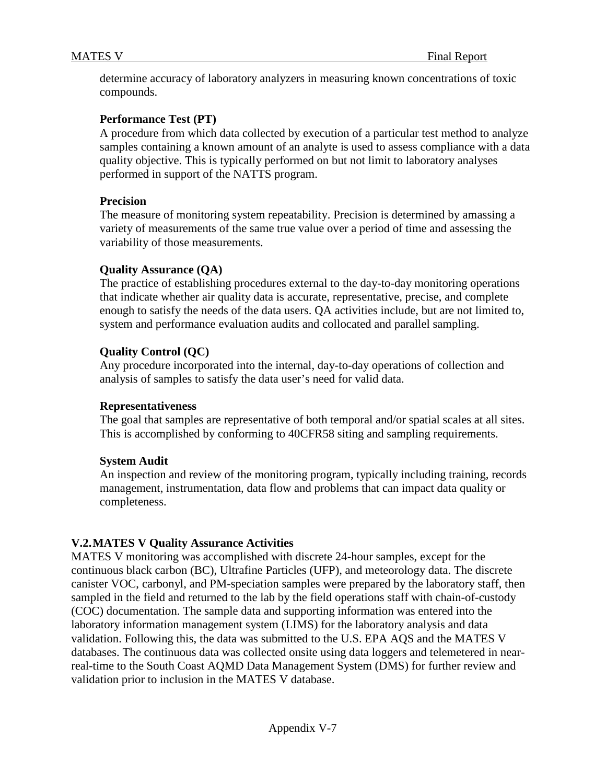determine accuracy of laboratory analyzers in measuring known concentrations of toxic compounds.

### **Performance Test (PT)**

A procedure from which data collected by execution of a particular test method to analyze samples containing a known amount of an analyte is used to assess compliance with a data quality objective. This is typically performed on but not limit to laboratory analyses performed in support of the NATTS program.

#### **Precision**

The measure of monitoring system repeatability. Precision is determined by amassing a variety of measurements of the same true value over a period of time and assessing the variability of those measurements.

#### **Quality Assurance (QA)**

The practice of establishing procedures external to the day-to-day monitoring operations that indicate whether air quality data is accurate, representative, precise, and complete enough to satisfy the needs of the data users. QA activities include, but are not limited to, system and performance evaluation audits and collocated and parallel sampling.

#### **Quality Control (QC)**

Any procedure incorporated into the internal, day-to-day operations of collection and analysis of samples to satisfy the data user's need for valid data.

#### **Representativeness**

The goal that samples are representative of both temporal and/or spatial scales at all sites. This is accomplished by conforming to 40CFR58 siting and sampling requirements.

#### **System Audit**

An inspection and review of the monitoring program, typically including training, records management, instrumentation, data flow and problems that can impact data quality or completeness.

#### **V.2.MATES V Quality Assurance Activities**

MATES V monitoring was accomplished with discrete 24-hour samples, except for the continuous black carbon (BC), Ultrafine Particles (UFP), and meteorology data. The discrete canister VOC, carbonyl, and PM-speciation samples were prepared by the laboratory staff, then sampled in the field and returned to the lab by the field operations staff with chain-of-custody (COC) documentation. The sample data and supporting information was entered into the laboratory information management system (LIMS) for the laboratory analysis and data validation. Following this, the data was submitted to the U.S. EPA AQS and the MATES V databases. The continuous data was collected onsite using data loggers and telemetered in nearreal-time to the South Coast AQMD Data Management System (DMS) for further review and validation prior to inclusion in the MATES V database.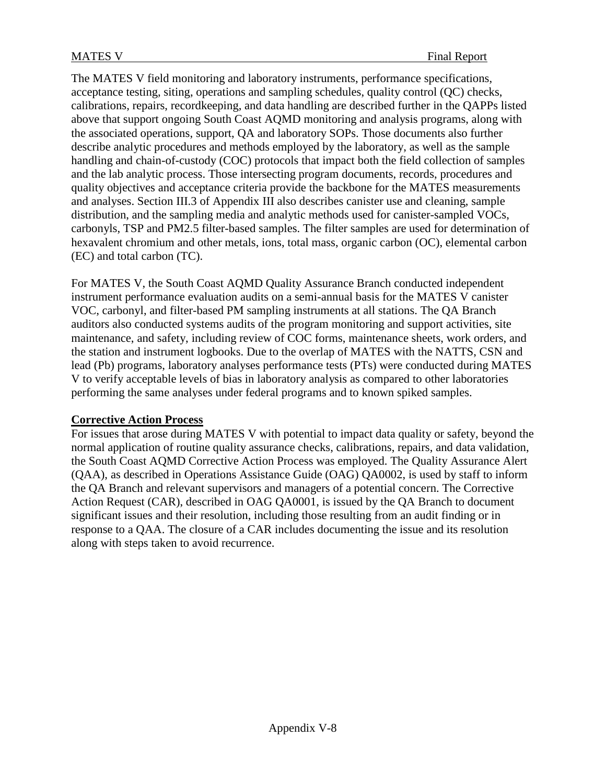The MATES V field monitoring and laboratory instruments, performance specifications, acceptance testing, siting, operations and sampling schedules, quality control (QC) checks, calibrations, repairs, recordkeeping, and data handling are described further in the QAPPs listed above that support ongoing South Coast AQMD monitoring and analysis programs, along with the associated operations, support, QA and laboratory SOPs. Those documents also further describe analytic procedures and methods employed by the laboratory, as well as the sample handling and chain-of-custody (COC) protocols that impact both the field collection of samples and the lab analytic process. Those intersecting program documents, records, procedures and quality objectives and acceptance criteria provide the backbone for the MATES measurements and analyses. Section III.3 of Appendix III also describes canister use and cleaning, sample distribution, and the sampling media and analytic methods used for canister-sampled VOCs, carbonyls, TSP and PM2.5 filter-based samples. The filter samples are used for determination of hexavalent chromium and other metals, ions, total mass, organic carbon (OC), elemental carbon (EC) and total carbon (TC).

For MATES V, the South Coast AQMD Quality Assurance Branch conducted independent instrument performance evaluation audits on a semi-annual basis for the MATES V canister VOC, carbonyl, and filter-based PM sampling instruments at all stations. The QA Branch auditors also conducted systems audits of the program monitoring and support activities, site maintenance, and safety, including review of COC forms, maintenance sheets, work orders, and the station and instrument logbooks. Due to the overlap of MATES with the NATTS, CSN and lead (Pb) programs, laboratory analyses performance tests (PTs) were conducted during MATES V to verify acceptable levels of bias in laboratory analysis as compared to other laboratories performing the same analyses under federal programs and to known spiked samples.

# **Corrective Action Process**

For issues that arose during MATES V with potential to impact data quality or safety, beyond the normal application of routine quality assurance checks, calibrations, repairs, and data validation, the South Coast AQMD Corrective Action Process was employed. The Quality Assurance Alert (QAA), as described in Operations Assistance Guide (OAG) QA0002, is used by staff to inform the QA Branch and relevant supervisors and managers of a potential concern. The Corrective Action Request (CAR), described in OAG QA0001, is issued by the QA Branch to document significant issues and their resolution, including those resulting from an audit finding or in response to a QAA. The closure of a CAR includes documenting the issue and its resolution along with steps taken to avoid recurrence.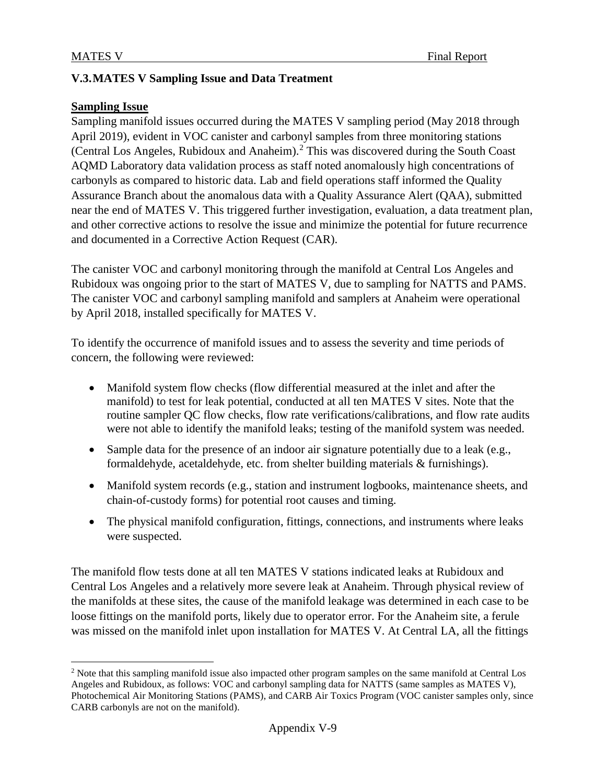# **V.3.MATES V Sampling Issue and Data Treatment**

#### **Sampling Issue**

Sampling manifold issues occurred during the MATES V sampling period (May 2018 through April 2019), evident in VOC canister and carbonyl samples from three monitoring stations (Central Los Angeles, Rubidoux and Anaheim).<sup>[2](#page-8-0)</sup> This was discovered during the South Coast AQMD Laboratory data validation process as staff noted anomalously high concentrations of carbonyls as compared to historic data. Lab and field operations staff informed the Quality Assurance Branch about the anomalous data with a Quality Assurance Alert (QAA), submitted near the end of MATES V. This triggered further investigation, evaluation, a data treatment plan, and other corrective actions to resolve the issue and minimize the potential for future recurrence and documented in a Corrective Action Request (CAR).

The canister VOC and carbonyl monitoring through the manifold at Central Los Angeles and Rubidoux was ongoing prior to the start of MATES V, due to sampling for NATTS and PAMS. The canister VOC and carbonyl sampling manifold and samplers at Anaheim were operational by April 2018, installed specifically for MATES V.

To identify the occurrence of manifold issues and to assess the severity and time periods of concern, the following were reviewed:

- Manifold system flow checks (flow differential measured at the inlet and after the manifold) to test for leak potential, conducted at all ten MATES V sites. Note that the routine sampler QC flow checks, flow rate verifications/calibrations, and flow rate audits were not able to identify the manifold leaks; testing of the manifold system was needed.
- Sample data for the presence of an indoor air signature potentially due to a leak (e.g., formaldehyde, acetaldehyde, etc. from shelter building materials & furnishings).
- Manifold system records (e.g., station and instrument logbooks, maintenance sheets, and chain-of-custody forms) for potential root causes and timing.
- The physical manifold configuration, fittings, connections, and instruments where leaks were suspected.

The manifold flow tests done at all ten MATES V stations indicated leaks at Rubidoux and Central Los Angeles and a relatively more severe leak at Anaheim. Through physical review of the manifolds at these sites, the cause of the manifold leakage was determined in each case to be loose fittings on the manifold ports, likely due to operator error. For the Anaheim site, a ferule was missed on the manifold inlet upon installation for MATES V. At Central LA, all the fittings

<span id="page-8-0"></span><sup>&</sup>lt;sup>2</sup> Note that this sampling manifold issue also impacted other program samples on the same manifold at Central Los Angeles and Rubidoux, as follows: VOC and carbonyl sampling data for NATTS (same samples as MATES V), Photochemical Air Monitoring Stations (PAMS), and CARB Air Toxics Program (VOC canister samples only, since CARB carbonyls are not on the manifold).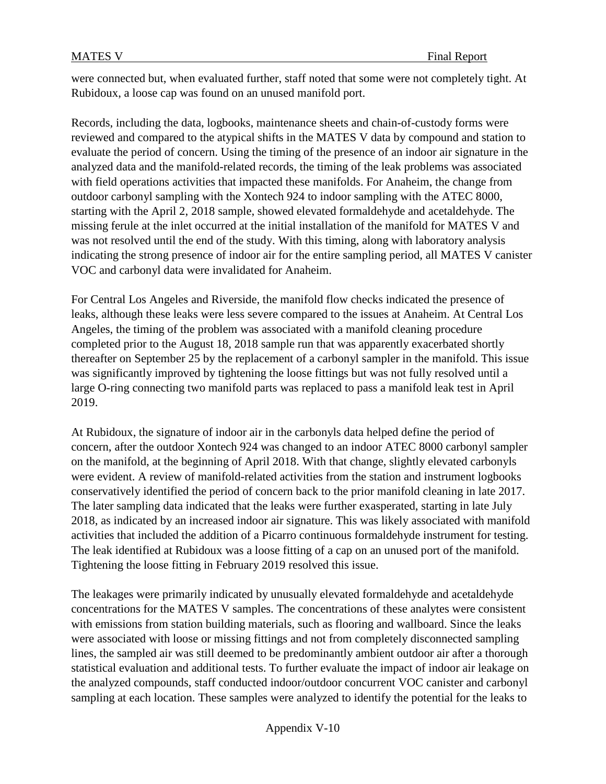were connected but, when evaluated further, staff noted that some were not completely tight. At Rubidoux, a loose cap was found on an unused manifold port.

Records, including the data, logbooks, maintenance sheets and chain-of-custody forms were reviewed and compared to the atypical shifts in the MATES V data by compound and station to evaluate the period of concern. Using the timing of the presence of an indoor air signature in the analyzed data and the manifold-related records, the timing of the leak problems was associated with field operations activities that impacted these manifolds. For Anaheim, the change from outdoor carbonyl sampling with the Xontech 924 to indoor sampling with the ATEC 8000, starting with the April 2, 2018 sample, showed elevated formaldehyde and acetaldehyde. The missing ferule at the inlet occurred at the initial installation of the manifold for MATES V and was not resolved until the end of the study. With this timing, along with laboratory analysis indicating the strong presence of indoor air for the entire sampling period, all MATES V canister VOC and carbonyl data were invalidated for Anaheim.

For Central Los Angeles and Riverside, the manifold flow checks indicated the presence of leaks, although these leaks were less severe compared to the issues at Anaheim. At Central Los Angeles, the timing of the problem was associated with a manifold cleaning procedure completed prior to the August 18, 2018 sample run that was apparently exacerbated shortly thereafter on September 25 by the replacement of a carbonyl sampler in the manifold. This issue was significantly improved by tightening the loose fittings but was not fully resolved until a large O-ring connecting two manifold parts was replaced to pass a manifold leak test in April 2019.

At Rubidoux, the signature of indoor air in the carbonyls data helped define the period of concern, after the outdoor Xontech 924 was changed to an indoor ATEC 8000 carbonyl sampler on the manifold, at the beginning of April 2018. With that change, slightly elevated carbonyls were evident. A review of manifold-related activities from the station and instrument logbooks conservatively identified the period of concern back to the prior manifold cleaning in late 2017. The later sampling data indicated that the leaks were further exasperated, starting in late July 2018, as indicated by an increased indoor air signature. This was likely associated with manifold activities that included the addition of a Picarro continuous formaldehyde instrument for testing. The leak identified at Rubidoux was a loose fitting of a cap on an unused port of the manifold. Tightening the loose fitting in February 2019 resolved this issue.

The leakages were primarily indicated by unusually elevated formaldehyde and acetaldehyde concentrations for the MATES V samples. The concentrations of these analytes were consistent with emissions from station building materials, such as flooring and wallboard. Since the leaks were associated with loose or missing fittings and not from completely disconnected sampling lines, the sampled air was still deemed to be predominantly ambient outdoor air after a thorough statistical evaluation and additional tests. To further evaluate the impact of indoor air leakage on the analyzed compounds, staff conducted indoor/outdoor concurrent VOC canister and carbonyl sampling at each location. These samples were analyzed to identify the potential for the leaks to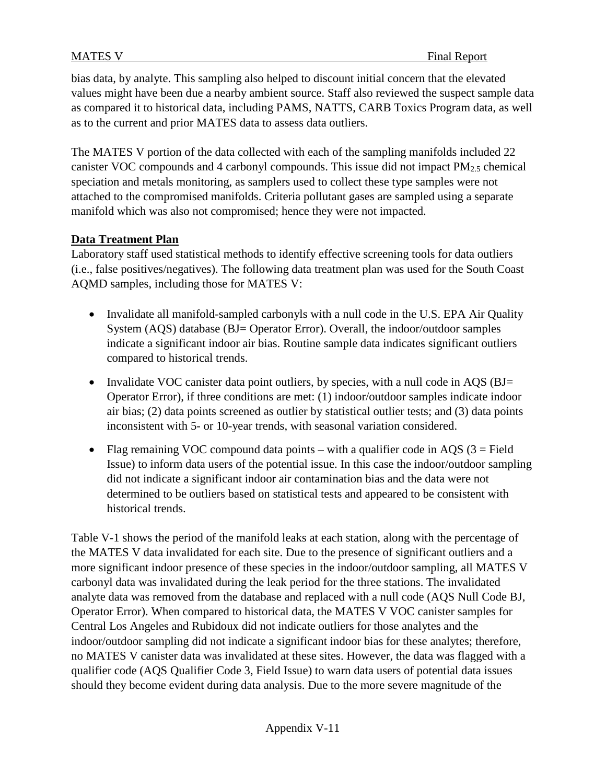bias data, by analyte. This sampling also helped to discount initial concern that the elevated values might have been due a nearby ambient source. Staff also reviewed the suspect sample data as compared it to historical data, including PAMS, NATTS, CARB Toxics Program data, as well as to the current and prior MATES data to assess data outliers.

The MATES V portion of the data collected with each of the sampling manifolds included 22 canister VOC compounds and 4 carbonyl compounds. This issue did not impact PM2.5 chemical speciation and metals monitoring, as samplers used to collect these type samples were not attached to the compromised manifolds. Criteria pollutant gases are sampled using a separate manifold which was also not compromised; hence they were not impacted.

# **Data Treatment Plan**

Laboratory staff used statistical methods to identify effective screening tools for data outliers (i.e., false positives/negatives). The following data treatment plan was used for the South Coast AQMD samples, including those for MATES V:

- Invalidate all manifold-sampled carbonyls with a null code in the U.S. EPA Air Quality System (AQS) database (BJ= Operator Error). Overall, the indoor/outdoor samples indicate a significant indoor air bias. Routine sample data indicates significant outliers compared to historical trends.
- Invalidate VOC canister data point outliers, by species, with a null code in AQS (BJ= Operator Error), if three conditions are met: (1) indoor/outdoor samples indicate indoor air bias; (2) data points screened as outlier by statistical outlier tests; and (3) data points inconsistent with 5- or 10-year trends, with seasonal variation considered.
- Flag remaining VOC compound data points with a qualifier code in AQS  $(3 = Field$ Issue) to inform data users of the potential issue. In this case the indoor/outdoor sampling did not indicate a significant indoor air contamination bias and the data were not determined to be outliers based on statistical tests and appeared to be consistent with historical trends.

Table V-1 shows the period of the manifold leaks at each station, along with the percentage of the MATES V data invalidated for each site. Due to the presence of significant outliers and a more significant indoor presence of these species in the indoor/outdoor sampling, all MATES V carbonyl data was invalidated during the leak period for the three stations. The invalidated analyte data was removed from the database and replaced with a null code (AQS Null Code BJ, Operator Error). When compared to historical data, the MATES V VOC canister samples for Central Los Angeles and Rubidoux did not indicate outliers for those analytes and the indoor/outdoor sampling did not indicate a significant indoor bias for these analytes; therefore, no MATES V canister data was invalidated at these sites. However, the data was flagged with a qualifier code (AQS Qualifier Code 3, Field Issue) to warn data users of potential data issues should they become evident during data analysis. Due to the more severe magnitude of the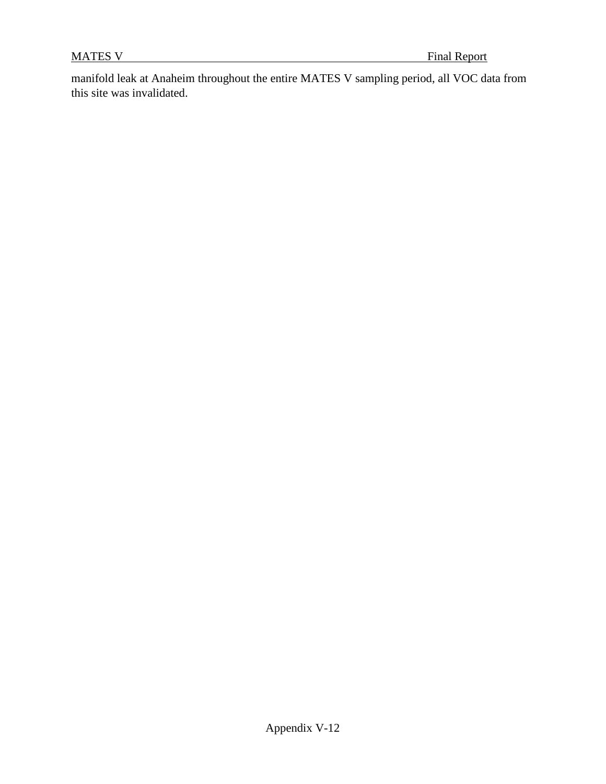manifold leak at Anaheim throughout the entire MATES V sampling period, all VOC data from this site was invalidated.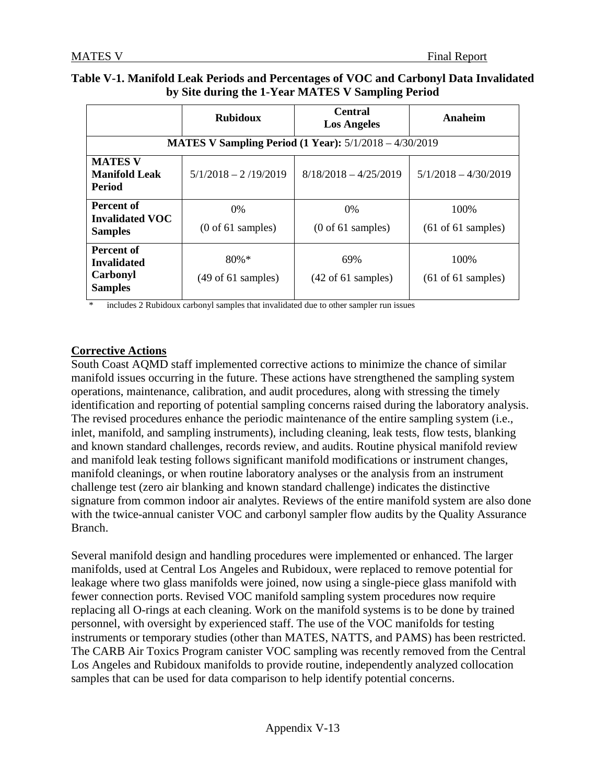|                                                                       | <b>Rubidoux</b>                                   | <b>Central</b><br><b>Los Angeles</b>          | Anaheim                                        |
|-----------------------------------------------------------------------|---------------------------------------------------|-----------------------------------------------|------------------------------------------------|
| <b>MATES V Sampling Period (1 Year):</b> 5/1/2018 - 4/30/2019         |                                                   |                                               |                                                |
| <b>MATES V</b><br><b>Manifold Leak</b><br><b>Period</b>               | $5/1/2018 - 2/19/2019$                            | $8/18/2018 - 4/25/2019$                       | $5/1/2018 - 4/30/2019$                         |
| Percent of<br><b>Invalidated VOC</b><br><b>Samples</b>                | $0\%$<br>$(0 \text{ of } 61 \text{ samples})$     | $0\%$<br>$(0 \text{ of } 61 \text{ samples})$ | 100\%<br>$(61 \text{ of } 61 \text{ samples})$ |
| <b>Percent of</b><br><b>Invalidated</b><br>Carbonyl<br><b>Samples</b> | $80\% *$<br>$(49 \text{ of } 61 \text{ samples})$ | 69%<br>$(42 \text{ of } 61 \text{ samples})$  | 100\%<br>$(61 \text{ of } 61 \text{ samples})$ |

### **Table V-1. Manifold Leak Periods and Percentages of VOC and Carbonyl Data Invalidated by Site during the 1-Year MATES V Sampling Period**

includes 2 Rubidoux carbonyl samples that invalidated due to other sampler run issues

# **Corrective Actions**

South Coast AQMD staff implemented corrective actions to minimize the chance of similar manifold issues occurring in the future. These actions have strengthened the sampling system operations, maintenance, calibration, and audit procedures, along with stressing the timely identification and reporting of potential sampling concerns raised during the laboratory analysis. The revised procedures enhance the periodic maintenance of the entire sampling system (i.e., inlet, manifold, and sampling instruments), including cleaning, leak tests, flow tests, blanking and known standard challenges, records review, and audits. Routine physical manifold review and manifold leak testing follows significant manifold modifications or instrument changes, manifold cleanings, or when routine laboratory analyses or the analysis from an instrument challenge test (zero air blanking and known standard challenge) indicates the distinctive signature from common indoor air analytes. Reviews of the entire manifold system are also done with the twice-annual canister VOC and carbonyl sampler flow audits by the Quality Assurance Branch.

Several manifold design and handling procedures were implemented or enhanced. The larger manifolds, used at Central Los Angeles and Rubidoux, were replaced to remove potential for leakage where two glass manifolds were joined, now using a single-piece glass manifold with fewer connection ports. Revised VOC manifold sampling system procedures now require replacing all O-rings at each cleaning. Work on the manifold systems is to be done by trained personnel, with oversight by experienced staff. The use of the VOC manifolds for testing instruments or temporary studies (other than MATES, NATTS, and PAMS) has been restricted. The CARB Air Toxics Program canister VOC sampling was recently removed from the Central Los Angeles and Rubidoux manifolds to provide routine, independently analyzed collocation samples that can be used for data comparison to help identify potential concerns.